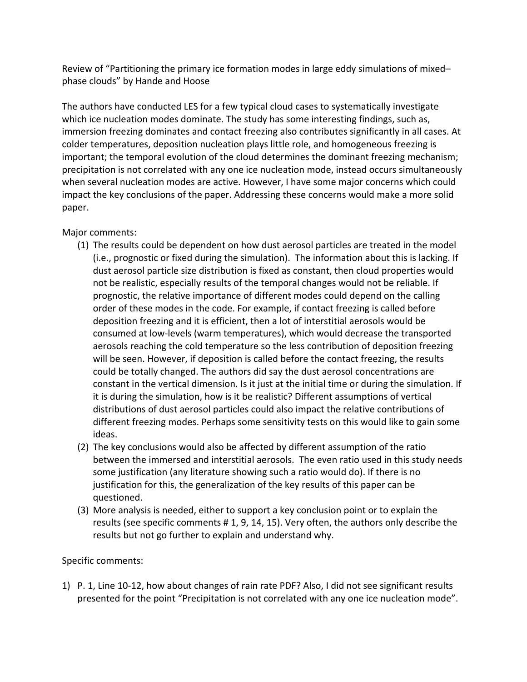Review of "Partitioning the primary ice formation modes in large eddy simulations of mixed– phase clouds" by Hande and Hoose

The authors have conducted LES for a few typical cloud cases to systematically investigate which ice nucleation modes dominate. The study has some interesting findings, such as, immersion freezing dominates and contact freezing also contributes significantly in all cases. At colder temperatures, deposition nucleation plays little role, and homogeneous freezing is important; the temporal evolution of the cloud determines the dominant freezing mechanism; precipitation is not correlated with any one ice nucleation mode, instead occurs simultaneously when several nucleation modes are active. However, I have some major concerns which could impact the key conclusions of the paper. Addressing these concerns would make a more solid paper. 

Major comments:

- (1) The results could be dependent on how dust aerosol particles are treated in the model (i.e., prognostic or fixed during the simulation). The information about this is lacking. If dust aerosol particle size distribution is fixed as constant, then cloud properties would not be realistic, especially results of the temporal changes would not be reliable. If prognostic, the relative importance of different modes could depend on the calling order of these modes in the code. For example, if contact freezing is called before deposition freezing and it is efficient, then a lot of interstitial aerosols would be consumed at low-levels (warm temperatures), which would decrease the transported aerosols reaching the cold temperature so the less contribution of deposition freezing will be seen. However, if deposition is called before the contact freezing, the results could be totally changed. The authors did say the dust aerosol concentrations are constant in the vertical dimension. Is it just at the initial time or during the simulation. If it is during the simulation, how is it be realistic? Different assumptions of vertical distributions of dust aerosol particles could also impact the relative contributions of different freezing modes. Perhaps some sensitivity tests on this would like to gain some ideas.
- (2) The key conclusions would also be affected by different assumption of the ratio between the immersed and interstitial aerosols. The even ratio used in this study needs some justification (any literature showing such a ratio would do). If there is no justification for this, the generalization of the key results of this paper can be questioned.
- (3) More analysis is needed, either to support a key conclusion point or to explain the results (see specific comments  $# 1, 9, 14, 15$ ). Very often, the authors only describe the results but not go further to explain and understand why.

## Specific comments:

1) P. 1, Line 10-12, how about changes of rain rate PDF? Also, I did not see significant results presented for the point "Precipitation is not correlated with any one ice nucleation mode".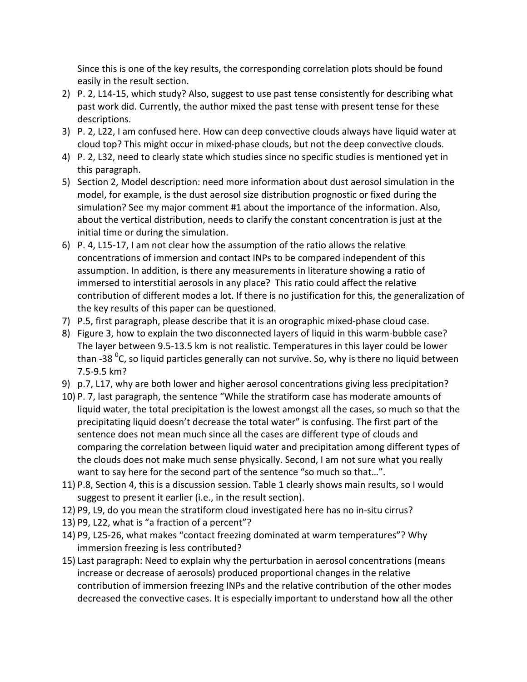Since this is one of the key results, the corresponding correlation plots should be found easily in the result section.

- 2) P. 2, L14-15, which study? Also, suggest to use past tense consistently for describing what past work did. Currently, the author mixed the past tense with present tense for these descriptions.
- 3) P. 2, L22, I am confused here. How can deep convective clouds always have liquid water at cloud top? This might occur in mixed-phase clouds, but not the deep convective clouds.
- 4) P. 2, L32, need to clearly state which studies since no specific studies is mentioned yet in this paragraph.
- 5) Section 2, Model description: need more information about dust aerosol simulation in the model, for example, is the dust aerosol size distribution prognostic or fixed during the simulation? See my major comment #1 about the importance of the information. Also, about the vertical distribution, needs to clarify the constant concentration is just at the initial time or during the simulation.
- 6) P. 4, L15-17, I am not clear how the assumption of the ratio allows the relative concentrations of immersion and contact INPs to be compared independent of this assumption. In addition, is there any measurements in literature showing a ratio of immersed to interstitial aerosols in any place? This ratio could affect the relative contribution of different modes a lot. If there is no justification for this, the generalization of the key results of this paper can be questioned.
- 7) P.5, first paragraph, please describe that it is an orographic mixed-phase cloud case.
- 8) Figure 3, how to explain the two disconnected layers of liquid in this warm-bubble case? The layer between 9.5-13.5 km is not realistic. Temperatures in this layer could be lower than -38  $\rm ^{0}$ C, so liquid particles generally can not survive. So, why is there no liquid between 7.5-9.5 km?
- 9) p.7, L17, why are both lower and higher aerosol concentrations giving less precipitation?
- 10) P. 7, last paragraph, the sentence "While the stratiform case has moderate amounts of liquid water, the total precipitation is the lowest amongst all the cases, so much so that the precipitating liquid doesn't decrease the total water" is confusing. The first part of the sentence does not mean much since all the cases are different type of clouds and comparing the correlation between liquid water and precipitation among different types of the clouds does not make much sense physically. Second, I am not sure what you really want to say here for the second part of the sentence "so much so that...".
- 11) P.8, Section 4, this is a discussion session. Table 1 clearly shows main results, so I would suggest to present it earlier (i.e., in the result section).
- 12) P9, L9, do you mean the stratiform cloud investigated here has no in-situ cirrus?
- 13) P9, L22, what is "a fraction of a percent"?
- 14) P9, L25-26, what makes "contact freezing dominated at warm temperatures"? Why immersion freezing is less contributed?
- 15) Last paragraph: Need to explain why the perturbation in aerosol concentrations (means increase or decrease of aerosols) produced proportional changes in the relative contribution of immersion freezing INPs and the relative contribution of the other modes decreased the convective cases. It is especially important to understand how all the other